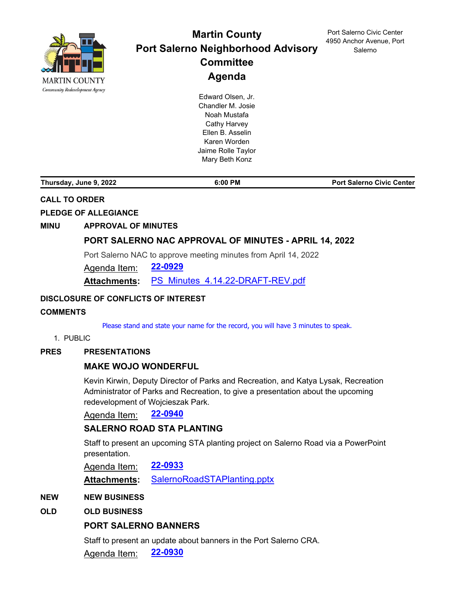

# **Martin County Port Salerno Neighborhood Advisory Committee Agenda**

Edward Olsen, Jr. Chandler M. Josie Noah Mustafa Cathy Harvey Ellen B. Asselin Karen Worden Jaime Rolle Taylor Mary Beth Konz

Port Salerno Civic Center 4950 Anchor Avenue, Port Salerno

**Thursday, June 9, 2022 6:00 PM Port Salerno Civic Center**

# **CALL TO ORDER**

# **PLEDGE OF ALLEGIANCE**

#### **MINU APPROVAL OF MINUTES**

#### **[PORT SALERNO NAC APPROVAL OF MINUTES - APRIL 14, 2022](http://martin.legistar.com/gateway.aspx?m=l&id=/matter.aspx?key=6290)**

Port Salerno NAC to approve meeting minutes from April 14, 2022

Agenda Item: **[22-0929](http://martin.legistar.com/gateway.aspx?m=l&id=/matter.aspx?key=6290)**

**Attachments:** [PS\\_Minutes\\_4.14.22-DRAFT-REV.pdf](http://martin.legistar.com/gateway.aspx?M=F&ID=47e5926e-9b5d-4fee-a31e-8d4ef0d61671.pdf)

#### **DISCLOSURE OF CONFLICTS OF INTEREST**

#### **COMMENTS**

Please stand and state your name for the record, you will have 3 minutes to speak.

1. PUBLIC

#### **PRES PRESENTATIONS**

# **[MAKE WOJO WONDERFUL](http://martin.legistar.com/gateway.aspx?m=l&id=/matter.aspx?key=6301)**

Kevin Kirwin, Deputy Director of Parks and Recreation, and Katya Lysak, Recreation Administrator of Parks and Recreation, to give a presentation about the upcoming redevelopment of Wojcieszak Park.

Agenda Item: **[22-0940](http://martin.legistar.com/gateway.aspx?m=l&id=/matter.aspx?key=6301)**

# **[SALERNO ROAD STA PLANTING](http://martin.legistar.com/gateway.aspx?m=l&id=/matter.aspx?key=6294)**

Staff to present an upcoming STA planting project on Salerno Road via a PowerPoint presentation.

Agenda Item: **[22-0933](http://martin.legistar.com/gateway.aspx?m=l&id=/matter.aspx?key=6294)**

**Attachments:** [SalernoRoadSTAPlanting.pptx](http://martin.legistar.com/gateway.aspx?M=F&ID=77d24ca8-f7d6-498e-b48d-388dcbafb41d.pptx)

#### **NEW NEW BUSINESS**

# **OLD OLD BUSINESS**

# **[PORT SALERNO BANNERS](http://martin.legistar.com/gateway.aspx?m=l&id=/matter.aspx?key=6291)**

Staff to present an update about banners in the Port Salerno CRA.

Agenda Item: **[22-0930](http://martin.legistar.com/gateway.aspx?m=l&id=/matter.aspx?key=6291)**